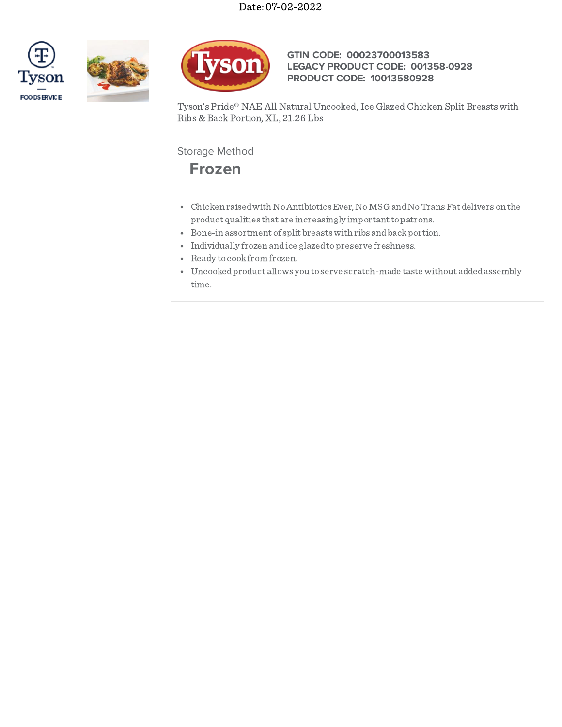





## **GTIN CODE: 00023700013583 LEGACY PRODUCT CODE: 001358-0928 PRODUCT CODE: 10013580928**

Tyson's Pride® NAE All Natural Uncooked, Ice Glazed Chicken Split Breasts with Ribs & Back Portion, XL, 21.26 Lbs

Storage Method

## **Frozen**

- Chicken raisedwith NoAntibioticsEver,NoMSG andNoTransFat delivers on the product qualities that are increasingly important to patrons.
- $\bullet$  Bone-in assortment of split breasts with ribs and back portion.
- $\bullet$  Individually frozen and ice glazed to preserve freshness.
- Ready to cook from frozen.
- Uncookedproduct allows you to serve scratch-made taste without addedassembly time.